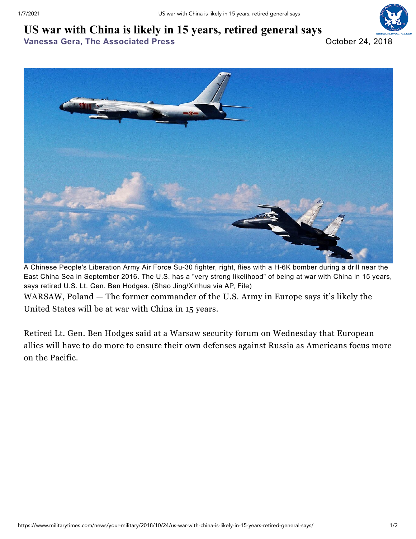## **US war with China is likely in 15 years, retired general says**

**Vanessa Gera, The [Associated](https://www.militarytimes.com/author/vanessa-gera) Press** October 24, 2018





A Chinese People's Liberation Army Air Force Su-30 fighter, right, flies with a H-6K bomber during a drill near the East China Sea in September 2016. The U.S. has a "very strong likelihood" of being at war with China in 15 years, says retired U.S. Lt. Gen. Ben Hodges. (Shao Jing/Xinhua via AP, File)

WARSAW, Poland — The former commander of the U.S. Army in [Europe](http://www.militarytimes.com/opinion/medals-misfires/2018/01/10/medal-reversing-the-drawdown-in-europe/) says it's likely the United States will be at war with [China](http://www.navytimes.com/news/your-military/2017/12/27/threats-and-military-exercises-fuel-tension-between-china-and-taiwan/) in 15 years.

Retired Lt. Gen. Ben [Hodges](http://www.armytimes.com/news/your-army/2017/10/10/the-us-and-natos-ability-to-deter-russia-is-at-risk-commander-says/) said at a Warsaw security forum on Wednesday that European allies will have to do more to ensure their own defenses against [Russia](http://www.militarytimes.com/news/2018/10/23/us-dumping-arms-pact-because-of-russias-violations-bolton-says/) as Americans focus more on the Pacific.